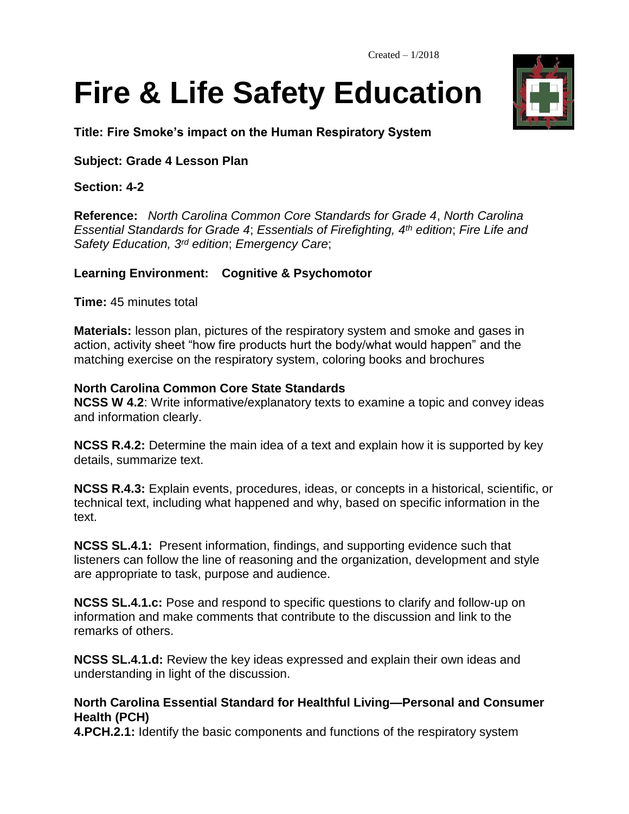# **Fire & Life Safety Education**

**Title: Fire Smoke's impact on the Human Respiratory System**

## **Subject: Grade 4 Lesson Plan**

## **Section: 4-2**

**Reference:** *North Carolina Common Core Standards for Grade 4*, *North Carolina Essential Standards for Grade 4*; *Essentials of Firefighting, 4th edition*; *Fire Life and Safety Education, 3rd edition*; *Emergency Care*;

## **Learning Environment: Cognitive & Psychomotor**

**Time:** 45 minutes total

**Materials:** lesson plan, pictures of the respiratory system and smoke and gases in action, activity sheet "how fire products hurt the body/what would happen" and the matching exercise on the respiratory system, coloring books and brochures

## **North Carolina Common Core State Standards**

**NCSS W 4.2**: Write informative/explanatory texts to examine a topic and convey ideas and information clearly.

**NCSS R.4.2:** Determine the main idea of a text and explain how it is supported by key details, summarize text.

**NCSS R.4.3:** Explain events, procedures, ideas, or concepts in a historical, scientific, or technical text, including what happened and why, based on specific information in the text.

**NCSS SL.4.1:** Present information, findings, and supporting evidence such that listeners can follow the line of reasoning and the organization, development and style are appropriate to task, purpose and audience.

**NCSS SL.4.1.c:** Pose and respond to specific questions to clarify and follow-up on information and make comments that contribute to the discussion and link to the remarks of others.

**NCSS SL.4.1.d:** Review the key ideas expressed and explain their own ideas and understanding in light of the discussion.

## **North Carolina Essential Standard for Healthful Living—Personal and Consumer Health (PCH)**

**4.PCH.2.1:** Identify the basic components and functions of the respiratory system

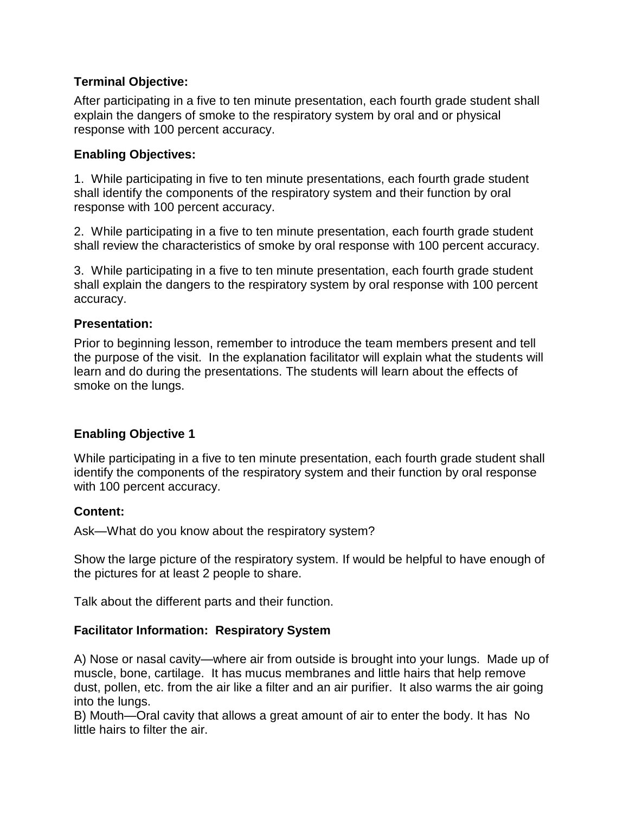## **Terminal Objective:**

After participating in a five to ten minute presentation, each fourth grade student shall explain the dangers of smoke to the respiratory system by oral and or physical response with 100 percent accuracy.

## **Enabling Objectives:**

1. While participating in five to ten minute presentations, each fourth grade student shall identify the components of the respiratory system and their function by oral response with 100 percent accuracy.

2. While participating in a five to ten minute presentation, each fourth grade student shall review the characteristics of smoke by oral response with 100 percent accuracy.

3. While participating in a five to ten minute presentation, each fourth grade student shall explain the dangers to the respiratory system by oral response with 100 percent accuracy.

## **Presentation:**

Prior to beginning lesson, remember to introduce the team members present and tell the purpose of the visit. In the explanation facilitator will explain what the students will learn and do during the presentations. The students will learn about the effects of smoke on the lungs.

## **Enabling Objective 1**

While participating in a five to ten minute presentation, each fourth grade student shall identify the components of the respiratory system and their function by oral response with 100 percent accuracy.

#### **Content:**

Ask—What do you know about the respiratory system?

Show the large picture of the respiratory system. If would be helpful to have enough of the pictures for at least 2 people to share.

Talk about the different parts and their function.

## **Facilitator Information: Respiratory System**

A) Nose or nasal cavity—where air from outside is brought into your lungs. Made up of muscle, bone, cartilage. It has mucus membranes and little hairs that help remove dust, pollen, etc. from the air like a filter and an air purifier. It also warms the air going into the lungs.

B) Mouth—Oral cavity that allows a great amount of air to enter the body. It has No little hairs to filter the air.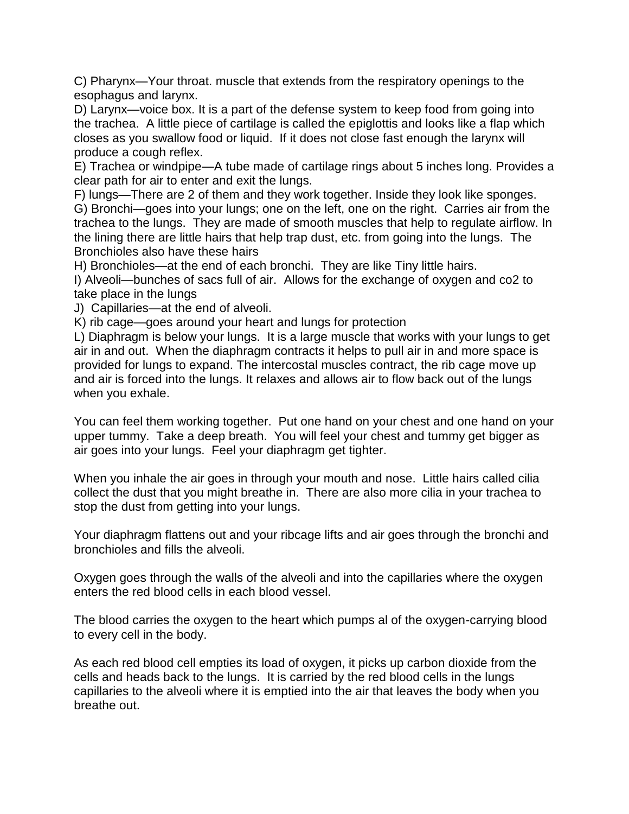C) Pharynx—Your throat. muscle that extends from the respiratory openings to the esophagus and larynx.

D) Larynx—voice box. It is a part of the defense system to keep food from going into the trachea. A little piece of cartilage is called the epiglottis and looks like a flap which closes as you swallow food or liquid. If it does not close fast enough the larynx will produce a cough reflex.

E) Trachea or windpipe—A tube made of cartilage rings about 5 inches long. Provides a clear path for air to enter and exit the lungs.

F) lungs—There are 2 of them and they work together. Inside they look like sponges. G) Bronchi—goes into your lungs; one on the left, one on the right. Carries air from the trachea to the lungs. They are made of smooth muscles that help to regulate airflow. In the lining there are little hairs that help trap dust, etc. from going into the lungs. The Bronchioles also have these hairs

H) Bronchioles—at the end of each bronchi. They are like Tiny little hairs.

I) Alveoli—bunches of sacs full of air. Allows for the exchange of oxygen and co2 to take place in the lungs

J) Capillaries—at the end of alveoli.

K) rib cage—goes around your heart and lungs for protection

L) Diaphragm is below your lungs. It is a large muscle that works with your lungs to get air in and out. When the diaphragm contracts it helps to pull air in and more space is provided for lungs to expand. The intercostal muscles contract, the rib cage move up and air is forced into the lungs. It relaxes and allows air to flow back out of the lungs when you exhale.

You can feel them working together. Put one hand on your chest and one hand on your upper tummy. Take a deep breath. You will feel your chest and tummy get bigger as air goes into your lungs. Feel your diaphragm get tighter.

When you inhale the air goes in through your mouth and nose. Little hairs called cilia collect the dust that you might breathe in. There are also more cilia in your trachea to stop the dust from getting into your lungs.

Your diaphragm flattens out and your ribcage lifts and air goes through the bronchi and bronchioles and fills the alveoli.

Oxygen goes through the walls of the alveoli and into the capillaries where the oxygen enters the red blood cells in each blood vessel.

The blood carries the oxygen to the heart which pumps al of the oxygen-carrying blood to every cell in the body.

As each red blood cell empties its load of oxygen, it picks up carbon dioxide from the cells and heads back to the lungs. It is carried by the red blood cells in the lungs capillaries to the alveoli where it is emptied into the air that leaves the body when you breathe out.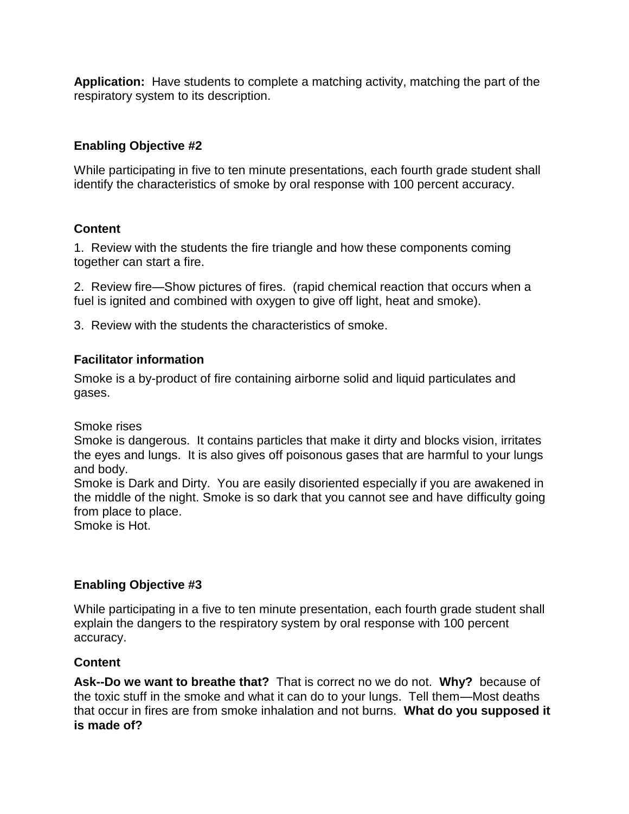**Application:** Have students to complete a matching activity, matching the part of the respiratory system to its description.

## **Enabling Objective #2**

While participating in five to ten minute presentations, each fourth grade student shall identify the characteristics of smoke by oral response with 100 percent accuracy.

# **Content**

1. Review with the students the fire triangle and how these components coming together can start a fire.

2. Review fire—Show pictures of fires. (rapid chemical reaction that occurs when a fuel is ignited and combined with oxygen to give off light, heat and smoke).

3. Review with the students the characteristics of smoke.

## **Facilitator information**

Smoke is a by-product of fire containing airborne solid and liquid particulates and gases.

Smoke rises

Smoke is dangerous. It contains particles that make it dirty and blocks vision, irritates the eyes and lungs. It is also gives off poisonous gases that are harmful to your lungs and body.

Smoke is Dark and Dirty. You are easily disoriented especially if you are awakened in the middle of the night. Smoke is so dark that you cannot see and have difficulty going from place to place.

Smoke is Hot.

# **Enabling Objective #3**

While participating in a five to ten minute presentation, each fourth grade student shall explain the dangers to the respiratory system by oral response with 100 percent accuracy.

## **Content**

**Ask--Do we want to breathe that?** That is correct no we do not. **Why?** because of the toxic stuff in the smoke and what it can do to your lungs. Tell them—Most deaths that occur in fires are from smoke inhalation and not burns. **What do you supposed it is made of?**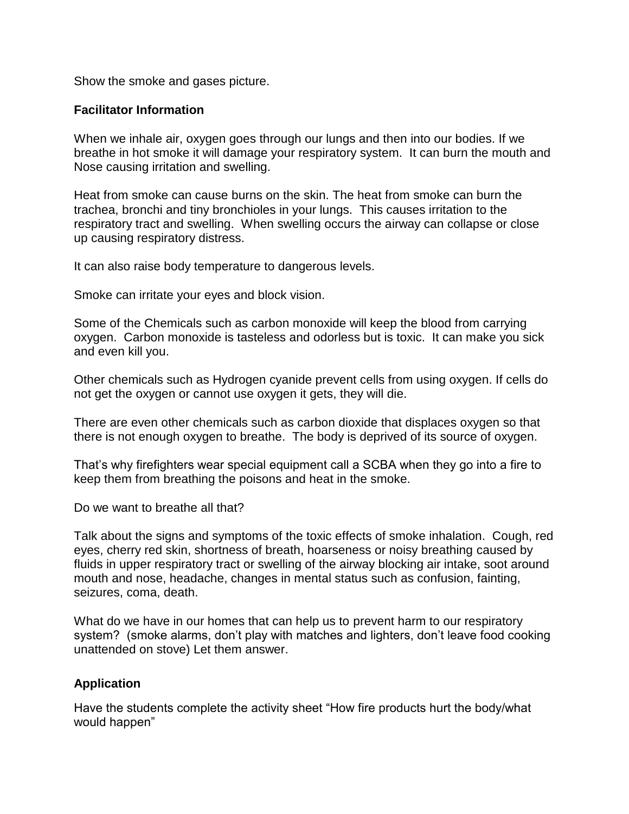Show the smoke and gases picture.

#### **Facilitator Information**

When we inhale air, oxygen goes through our lungs and then into our bodies. If we breathe in hot smoke it will damage your respiratory system. It can burn the mouth and Nose causing irritation and swelling.

Heat from smoke can cause burns on the skin. The heat from smoke can burn the trachea, bronchi and tiny bronchioles in your lungs. This causes irritation to the respiratory tract and swelling. When swelling occurs the airway can collapse or close up causing respiratory distress.

It can also raise body temperature to dangerous levels.

Smoke can irritate your eyes and block vision.

Some of the Chemicals such as carbon monoxide will keep the blood from carrying oxygen. Carbon monoxide is tasteless and odorless but is toxic. It can make you sick and even kill you.

Other chemicals such as Hydrogen cyanide prevent cells from using oxygen. If cells do not get the oxygen or cannot use oxygen it gets, they will die.

There are even other chemicals such as carbon dioxide that displaces oxygen so that there is not enough oxygen to breathe. The body is deprived of its source of oxygen.

That's why firefighters wear special equipment call a SCBA when they go into a fire to keep them from breathing the poisons and heat in the smoke.

Do we want to breathe all that?

Talk about the signs and symptoms of the toxic effects of smoke inhalation. Cough, red eyes, cherry red skin, shortness of breath, hoarseness or noisy breathing caused by fluids in upper respiratory tract or swelling of the airway blocking air intake, soot around mouth and nose, headache, changes in mental status such as confusion, fainting, seizures, coma, death.

What do we have in our homes that can help us to prevent harm to our respiratory system? (smoke alarms, don't play with matches and lighters, don't leave food cooking unattended on stove) Let them answer.

#### **Application**

Have the students complete the activity sheet "How fire products hurt the body/what would happen"